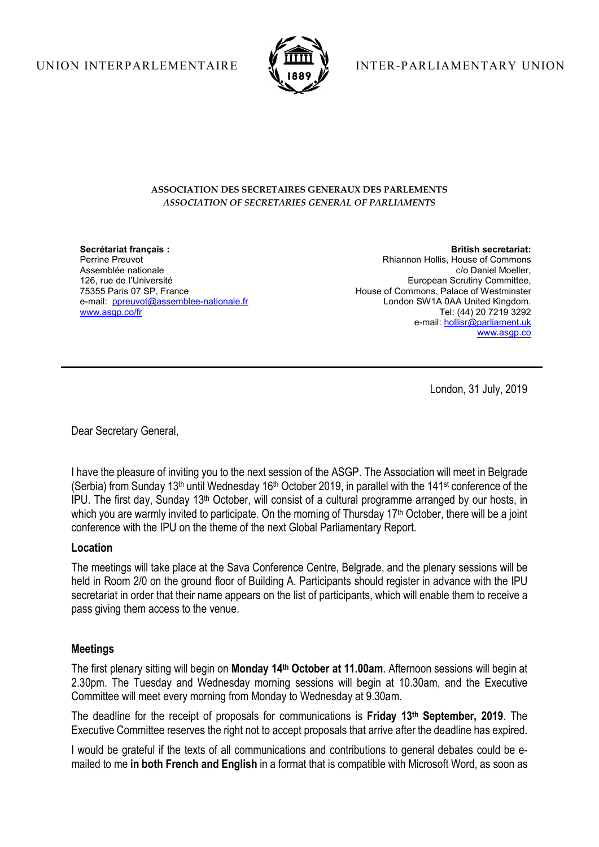

UNION INTERPARLEMENTAIRE **V THE Y** INTER-PARLIAMENTARY UNION

#### ASSOCIATION DES SECRETAIRES GENERAUX DES PARLEMENTS ASSOCIATION OF SECRETARIES GENERAL OF PARLIAMENTS

Secrétariat français : Perrine Preuvot Assemblée nationale 126, rue de l'Université 75355 Paris 07 SP, France e-mail: ppreuvot@assemblee-nationale.fr www.asgp.co/fr

British secretariat: Rhiannon Hollis, House of Commons c/o Daniel Moeller, European Scrutiny Committee, House of Commons, Palace of Westminster London SW1A 0AA United Kingdom. Tel: (44) 20 7219 3292 e-mail: hollisr@parliament.uk www.asgp.co

London, 31 July, 2019

Dear Secretary General,

I have the pleasure of inviting you to the next session of the ASGP. The Association will meet in Belgrade (Serbia) from Sunday 13<sup>th</sup> until Wednesday 16<sup>th</sup> October 2019, in parallel with the 141<sup>st</sup> conference of the IPU. The first day, Sunday 13th October, will consist of a cultural programme arranged by our hosts, in which you are warmly invited to participate. On the morning of Thursday 17<sup>th</sup> October, there will be a joint conference with the IPU on the theme of the next Global Parliamentary Report.

### Location

The meetings will take place at the Sava Conference Centre, Belgrade, and the plenary sessions will be held in Room 2/0 on the ground floor of Building A. Participants should register in advance with the IPU secretariat in order that their name appears on the list of participants, which will enable them to receive a pass giving them access to the venue.

# Meetings

The first plenary sitting will begin on Monday 14<sup>th</sup> October at 11.00am. Afternoon sessions will begin at 2.30pm. The Tuesday and Wednesday morning sessions will begin at 10.30am, and the Executive Committee will meet every morning from Monday to Wednesday at 9.30am.

The deadline for the receipt of proposals for communications is Friday 13th September, 2019. The Executive Committee reserves the right not to accept proposals that arrive after the deadline has expired.

I would be grateful if the texts of all communications and contributions to general debates could be emailed to me in both French and English in a format that is compatible with Microsoft Word, as soon as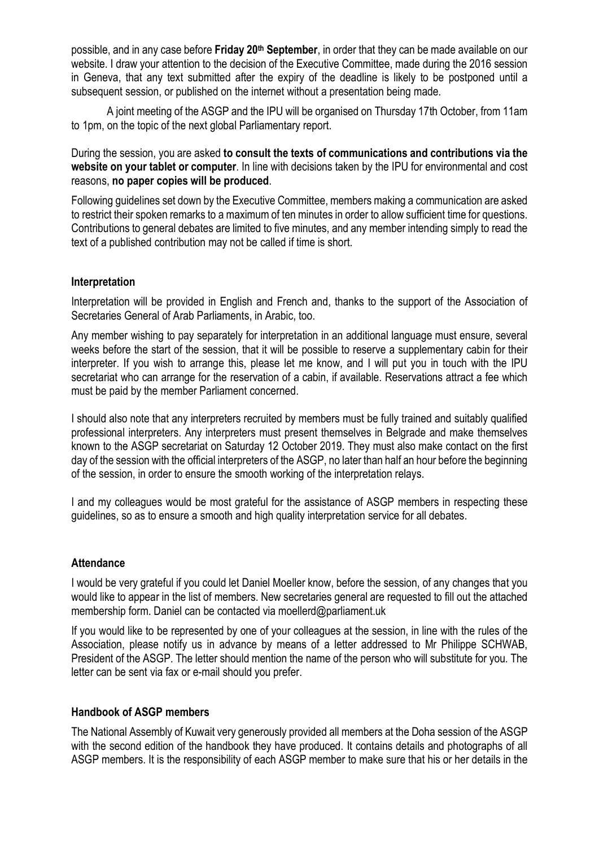possible, and in any case before Friday 20<sup>th</sup> September, in order that they can be made available on our website. I draw your attention to the decision of the Executive Committee, made during the 2016 session in Geneva, that any text submitted after the expiry of the deadline is likely to be postponed until a subsequent session, or published on the internet without a presentation being made.

A joint meeting of the ASGP and the IPU will be organised on Thursday 17th October, from 11am to 1pm, on the topic of the next global Parliamentary report.

During the session, you are asked to consult the texts of communications and contributions via the website on your tablet or computer. In line with decisions taken by the IPU for environmental and cost reasons, no paper copies will be produced.

Following guidelines set down by the Executive Committee, members making a communication are asked to restrict their spoken remarks to a maximum of ten minutes in order to allow sufficient time for questions. Contributions to general debates are limited to five minutes, and any member intending simply to read the text of a published contribution may not be called if time is short.

## **Interpretation**

Interpretation will be provided in English and French and, thanks to the support of the Association of Secretaries General of Arab Parliaments, in Arabic, too.

Any member wishing to pay separately for interpretation in an additional language must ensure, several weeks before the start of the session, that it will be possible to reserve a supplementary cabin for their interpreter. If you wish to arrange this, please let me know, and I will put you in touch with the IPU secretariat who can arrange for the reservation of a cabin, if available. Reservations attract a fee which must be paid by the member Parliament concerned.

I should also note that any interpreters recruited by members must be fully trained and suitably qualified professional interpreters. Any interpreters must present themselves in Belgrade and make themselves known to the ASGP secretariat on Saturday 12 October 2019. They must also make contact on the first day of the session with the official interpreters of the ASGP, no later than half an hour before the beginning of the session, in order to ensure the smooth working of the interpretation relays.

I and my colleagues would be most grateful for the assistance of ASGP members in respecting these guidelines, so as to ensure a smooth and high quality interpretation service for all debates.

### **Attendance**

I would be very grateful if you could let Daniel Moeller know, before the session, of any changes that you would like to appear in the list of members. New secretaries general are requested to fill out the attached membership form. Daniel can be contacted via moellerd@parliament.uk

If you would like to be represented by one of your colleagues at the session, in line with the rules of the Association, please notify us in advance by means of a letter addressed to Mr Philippe SCHWAB, President of the ASGP. The letter should mention the name of the person who will substitute for you. The letter can be sent via fax or e-mail should you prefer.

### Handbook of ASGP members

The National Assembly of Kuwait very generously provided all members at the Doha session of the ASGP with the second edition of the handbook they have produced. It contains details and photographs of all ASGP members. It is the responsibility of each ASGP member to make sure that his or her details in the